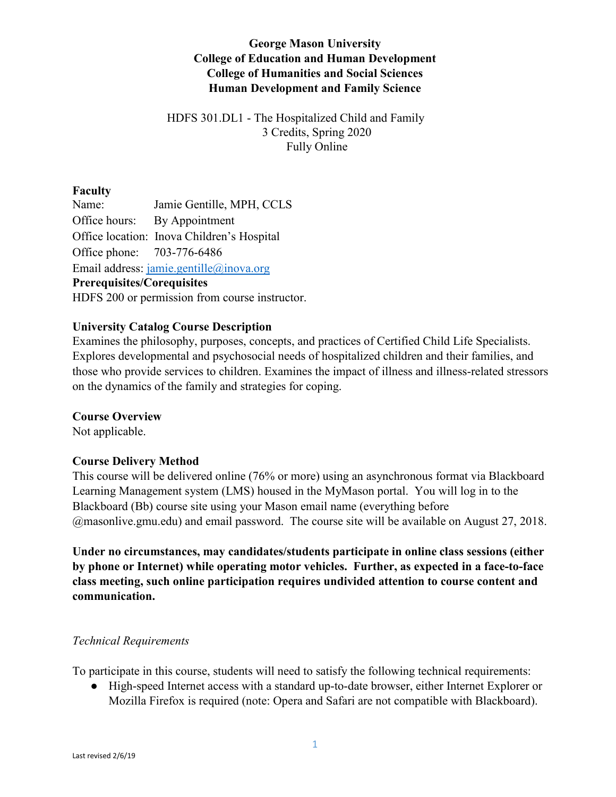# **George Mason University College of Education and Human Development College of Humanities and Social Sciences Human Development and Family Science**

## HDFS 301.DL1 - The Hospitalized Child and Family 3 Credits, Spring 2020 Fully Online

## **Faculty**

Name: Jamie Gentille, MPH, CCLS Office hours: By Appointment Office location: Inova Children's Hospital Office phone: 703-776-6486 Email address: [jamie.gentille@inova.org](mailto:jamie.gentille@inova.org) **Prerequisites/Corequisites** HDFS 200 or permission from course instructor.

### **University Catalog Course Description**

Examines the philosophy, purposes, concepts, and practices of Certified Child Life Specialists. Explores developmental and psychosocial needs of hospitalized children and their families, and those who provide services to children. Examines the impact of illness and illness-related stressors on the dynamics of the family and strategies for coping.

#### **Course Overview**

Not applicable.

## **Course Delivery Method**

This course will be delivered online (76% or more) using an asynchronous format via Blackboard Learning Management system (LMS) housed in the MyMason portal. You will log in to the Blackboard (Bb) course site using your Mason email name (everything before @masonlive.gmu.edu) and email password. The course site will be available on August 27, 2018.

**Under no circumstances, may candidates/students participate in online class sessions (either by phone or Internet) while operating motor vehicles. Further, as expected in a face-to-face class meeting, such online participation requires undivided attention to course content and communication.**

#### *Technical Requirements*

To participate in this course, students will need to satisfy the following technical requirements:

● High-speed Internet access with a standard up-to-date browser, either Internet Explorer or Mozilla Firefox is required (note: Opera and Safari are not compatible with Blackboard).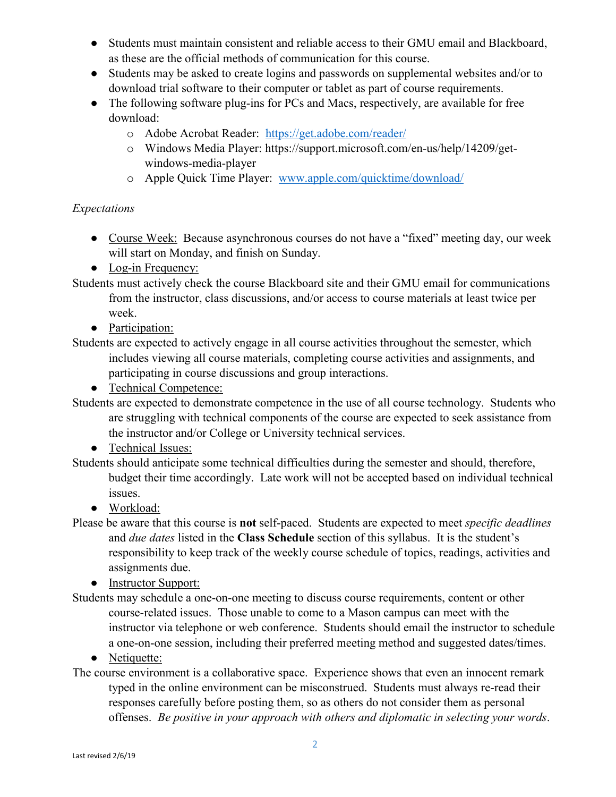- Students must maintain consistent and reliable access to their GMU email and Blackboard, as these are the official methods of communication for this course.
- Students may be asked to create logins and passwords on supplemental websites and/or to download trial software to their computer or tablet as part of course requirements.
- The following software plug-ins for PCs and Macs, respectively, are available for free download:
	- o Adobe Acrobat Reader: <https://get.adobe.com/reader/>
	- o Windows Media Player: https://support.microsoft.com/en-us/help/14209/getwindows-media-player
	- o Apple Quick Time Player: [www.apple.com/quicktime/download/](http://www.apple.com/quicktime/download/)

## *Expectations*

- Course Week: Because asynchronous courses do not have a "fixed" meeting day, our week will start on Monday, and finish on Sunday.
- Log-in Frequency:

Students must actively check the course Blackboard site and their GMU email for communications from the instructor, class discussions, and/or access to course materials at least twice per week.

• Participation:

- Technical Competence:
- Students are expected to demonstrate competence in the use of all course technology. Students who are struggling with technical components of the course are expected to seek assistance from the instructor and/or College or University technical services.
	- Technical Issues:
- Students should anticipate some technical difficulties during the semester and should, therefore, budget their time accordingly. Late work will not be accepted based on individual technical issues.
	- Workload:

Please be aware that this course is **not** self-paced. Students are expected to meet *specific deadlines*  and *due dates* listed in the **Class Schedule** section of this syllabus. It is the student's responsibility to keep track of the weekly course schedule of topics, readings, activities and assignments due.

• Instructor Support:

Students may schedule a one-on-one meeting to discuss course requirements, content or other course-related issues. Those unable to come to a Mason campus can meet with the instructor via telephone or web conference. Students should email the instructor to schedule a one-on-one session, including their preferred meeting method and suggested dates/times.

• Netiquette:

The course environment is a collaborative space. Experience shows that even an innocent remark typed in the online environment can be misconstrued. Students must always re-read their responses carefully before posting them, so as others do not consider them as personal offenses. *Be positive in your approach with others and diplomatic in selecting your words*.

Students are expected to actively engage in all course activities throughout the semester, which includes viewing all course materials, completing course activities and assignments, and participating in course discussions and group interactions.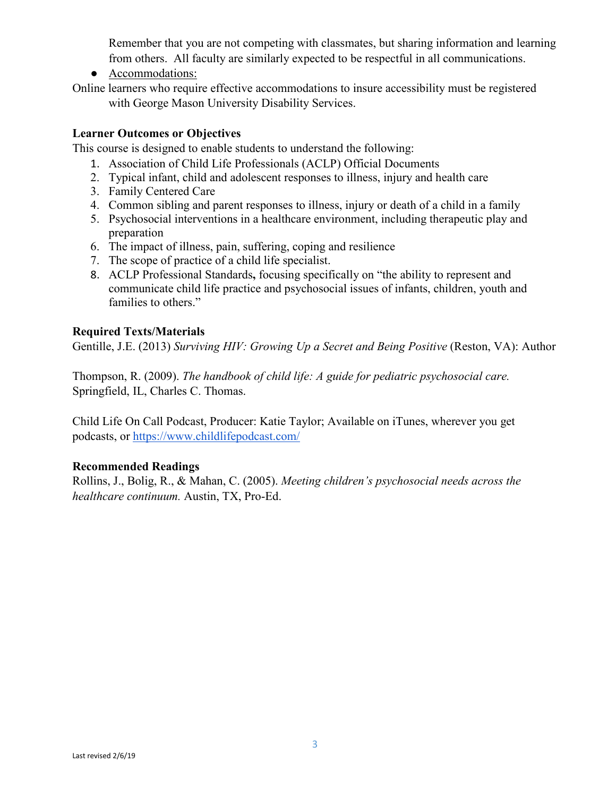Remember that you are not competing with classmates, but sharing information and learning from others. All faculty are similarly expected to be respectful in all communications.

- Accommodations:
- Online learners who require effective accommodations to insure accessibility must be registered with George Mason University Disability Services.

#### **Learner Outcomes or Objectives**

This course is designed to enable students to understand the following:

- 1. Association of Child Life Professionals (ACLP) Official Documents
- 2. Typical infant, child and adolescent responses to illness, injury and health care
- 3. Family Centered Care
- 4. Common sibling and parent responses to illness, injury or death of a child in a family
- 5. Psychosocial interventions in a healthcare environment, including therapeutic play and preparation
- 6. The impact of illness, pain, suffering, coping and resilience
- 7. The scope of practice of a child life specialist.
- 8. ACLP Professional Standards**,** focusing specifically on "the ability to represent and communicate child life practice and psychosocial issues of infants, children, youth and families to others."

### **Required Texts/Materials**

Gentille, J.E. (2013) *Surviving HIV: Growing Up a Secret and Being Positive* (Reston, VA): Author

Thompson, R. (2009). *The handbook of child life: A guide for pediatric psychosocial care.* Springfield, IL, Charles C. Thomas.

Child Life On Call Podcast, Producer: Katie Taylor; Available on iTunes, wherever you get podcasts, or<https://www.childlifepodcast.com/>

#### **Recommended Readings**

Rollins, J., Bolig, R., & Mahan, C. (2005). *Meeting children's psychosocial needs across the healthcare continuum.* Austin, TX, Pro-Ed.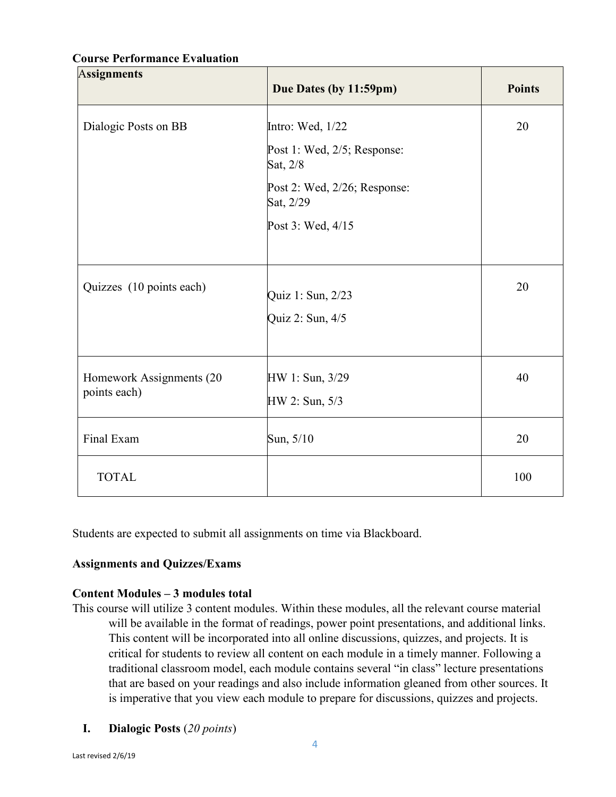# A**ssignments Due Dates (by 11:59pm)** Points Dialogic Posts on BB Intro: Wed, 1/22 Post 1: Wed, 2/5; Response: Sat, 2/8 Post 2: Wed, 2/26; Response: Sat, 2/29 Post 3: Wed, 4/15 20 Quizzes (10 points each)  $\begin{cases} \text{Quiz 1: Sun, } 2/23 \end{cases}$ Quiz 2: Sun, 4/5 20 Homework Assignments (20 points each) HW 1: Sun, 3/29 HW 2: Sun, 5/3 40 Final Exam  $\begin{array}{|c|c|c|c|c|} \hline \text{S} & \text{S} & \text{S} & \text{S} & \text{S} & \text{S} & \text{S} & \text{S} & \text{S} & \text{S} & \text{S} & \text{S} & \text{S} & \text{S} & \text{S} & \text{S} & \text{S} & \text{S} & \text{S} & \text{S} & \text{S} & \text{S} & \text{S} & \text{S} & \text{S} & \text{S} & \text{S} & \text{S} & \text{S} & \text{S} & \text{S} & \text{$ TOTAL 100

#### **Course Performance Evaluation**

Students are expected to submit all assignments on time via Blackboard.

## **Assignments and Quizzes/Exams**

#### **Content Modules – 3 modules total**

- This course will utilize 3 content modules. Within these modules, all the relevant course material will be available in the format of readings, power point presentations, and additional links. This content will be incorporated into all online discussions, quizzes, and projects. It is critical for students to review all content on each module in a timely manner. Following a traditional classroom model, each module contains several "in class" lecture presentations that are based on your readings and also include information gleaned from other sources. It is imperative that you view each module to prepare for discussions, quizzes and projects.
	- **I. Dialogic Posts** (*20 points*)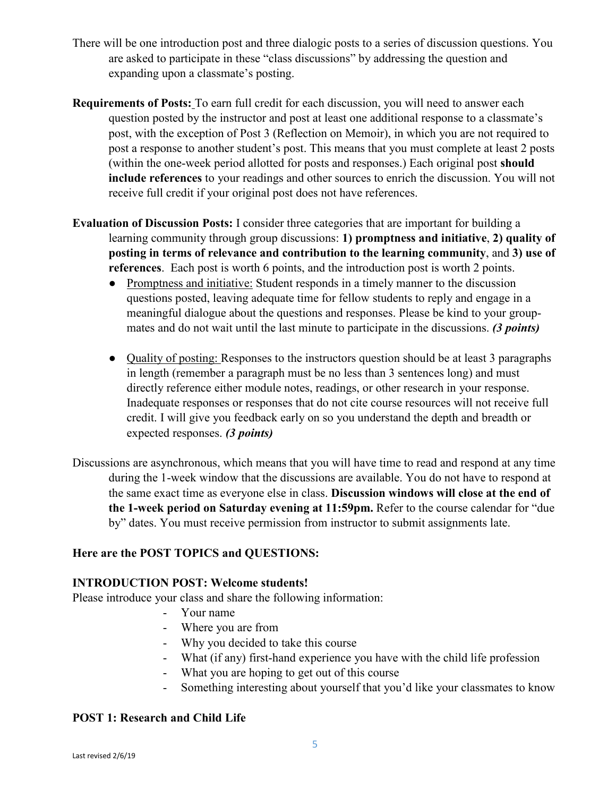- There will be one introduction post and three dialogic posts to a series of discussion questions. You are asked to participate in these "class discussions" by addressing the question and expanding upon a classmate's posting.
- **Requirements of Posts:** To earn full credit for each discussion, you will need to answer each question posted by the instructor and post at least one additional response to a classmate's post, with the exception of Post 3 (Reflection on Memoir), in which you are not required to post a response to another student's post. This means that you must complete at least 2 posts (within the one-week period allotted for posts and responses.) Each original post **should include references** to your readings and other sources to enrich the discussion. You will not receive full credit if your original post does not have references.
- **Evaluation of Discussion Posts:** I consider three categories that are important for building a learning community through group discussions: **1) promptness and initiative**, **2) quality of posting in terms of relevance and contribution to the learning community**, and **3) use of references**. Each post is worth 6 points, and the introduction post is worth 2 points.
	- Promptness and initiative: Student responds in a timely manner to the discussion questions posted, leaving adequate time for fellow students to reply and engage in a meaningful dialogue about the questions and responses. Please be kind to your groupmates and do not wait until the last minute to participate in the discussions. *(3 points)*
	- Quality of posting: Responses to the instructors question should be at least 3 paragraphs in length (remember a paragraph must be no less than 3 sentences long) and must directly reference either module notes, readings, or other research in your response. Inadequate responses or responses that do not cite course resources will not receive full credit. I will give you feedback early on so you understand the depth and breadth or expected responses. *(3 points)*
- Discussions are asynchronous, which means that you will have time to read and respond at any time during the 1-week window that the discussions are available. You do not have to respond at the same exact time as everyone else in class. **Discussion windows will close at the end of the 1-week period on Saturday evening at 11:59pm.** Refer to the course calendar for "due by" dates. You must receive permission from instructor to submit assignments late.

## **Here are the POST TOPICS and QUESTIONS:**

## **INTRODUCTION POST: Welcome students!**

Please introduce your class and share the following information:

- Your name
- Where you are from
- Why you decided to take this course
- What (if any) first-hand experience you have with the child life profession
- What you are hoping to get out of this course
- Something interesting about yourself that you'd like your classmates to know

## **POST 1: Research and Child Life**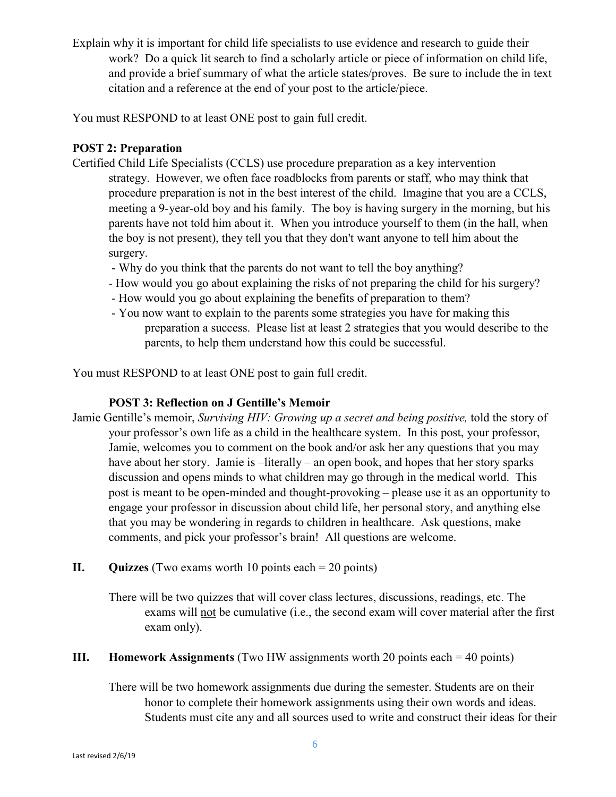Explain why it is important for child life specialists to use evidence and research to guide their work? Do a quick lit search to find a scholarly article or piece of information on child life, and provide a brief summary of what the article states/proves. Be sure to include the in text citation and a reference at the end of your post to the article/piece.

You must RESPOND to at least ONE post to gain full credit.

## **POST 2: Preparation**

- Certified Child Life Specialists (CCLS) use procedure preparation as a key intervention strategy. However, we often face roadblocks from parents or staff, who may think that procedure preparation is not in the best interest of the child. Imagine that you are a CCLS, meeting a 9-year-old boy and his family. The boy is having surgery in the morning, but his parents have not told him about it. When you introduce yourself to them (in the hall, when the boy is not present), they tell you that they don't want anyone to tell him about the surgery.
	- Why do you think that the parents do not want to tell the boy anything?
	- How would you go about explaining the risks of not preparing the child for his surgery?
	- How would you go about explaining the benefits of preparation to them?
	- You now want to explain to the parents some strategies you have for making this preparation a success. Please list at least 2 strategies that you would describe to the parents, to help them understand how this could be successful.

You must RESPOND to at least ONE post to gain full credit.

## **POST 3: Reflection on J Gentille's Memoir**

- Jamie Gentille's memoir, *Surviving HIV: Growing up a secret and being positive,* told the story of your professor's own life as a child in the healthcare system. In this post, your professor, Jamie, welcomes you to comment on the book and/or ask her any questions that you may have about her story. Jamie is –literally – an open book, and hopes that her story sparks discussion and opens minds to what children may go through in the medical world. This post is meant to be open-minded and thought-provoking – please use it as an opportunity to engage your professor in discussion about child life, her personal story, and anything else that you may be wondering in regards to children in healthcare. Ask questions, make comments, and pick your professor's brain! All questions are welcome.
- **II. Quizzes** (Two exams worth 10 points each = 20 points)

There will be two quizzes that will cover class lectures, discussions, readings, etc. The exams will not be cumulative (i.e., the second exam will cover material after the first exam only).

**III. Homework Assignments** (Two HW assignments worth 20 points each = 40 points)

There will be two homework assignments due during the semester. Students are on their honor to complete their homework assignments using their own words and ideas. Students must cite any and all sources used to write and construct their ideas for their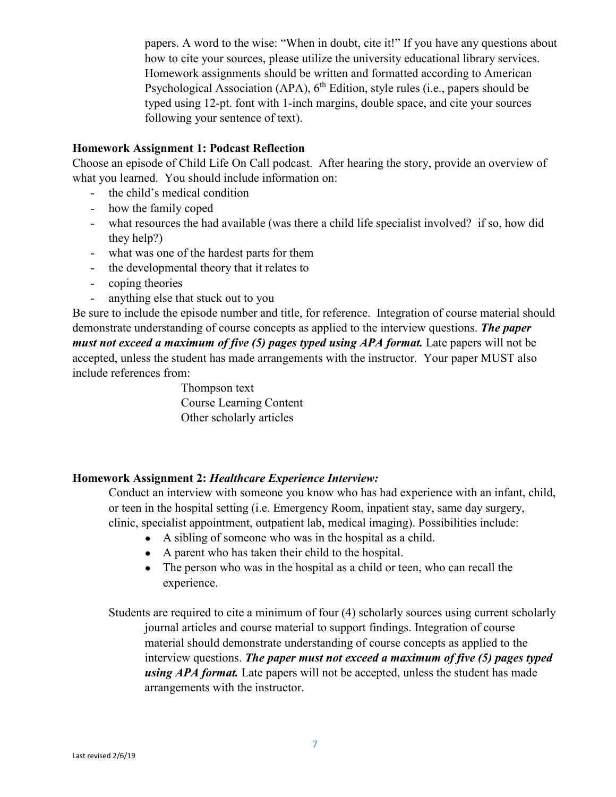papers. A word to the wise: "When in doubt, cite it!" If you have any questions about how to cite your sources, please utilize the university educational library services. Homework assignments should be written and formatted according to American Psychological Association (APA),  $6<sup>th</sup>$  Edition, style rules (i.e., papers should be typed using 12-pt. font with 1-inch margins, double space, and cite your sources following your sentence of text).

### **Homework Assignment 1: Podcast Reflection**

Choose an episode of Child Life On Call podcast. After hearing the story, provide an overview of what you learned. You should include information on:

- the child's medical condition
- how the family coped
- what resources the had available (was there a child life specialist involved? if so, how did they help?)
- what was one of the hardest parts for them
- the developmental theory that it relates to
- coping theories
- anything else that stuck out to you

Be sure to include the episode number and title, for reference. Integration of course material should demonstrate understanding of course concepts as applied to the interview questions. *The paper must not exceed a maximum of five (5) pages typed using APA format.* Late papers will not be accepted, unless the student has made arrangements with the instructor. Your paper MUST also include references from:

> Thompson text Course Learning Content Other scholarly articles

## **Homework Assignment 2:** *Healthcare Experience Interview:*

Conduct an interview with someone you know who has had experience with an infant, child, or teen in the hospital setting (i.e. Emergency Room, inpatient stay, same day surgery, clinic, specialist appointment, outpatient lab, medical imaging). Possibilities include:

- A sibling of someone who was in the hospital as a child.
- A parent who has taken their child to the hospital.
- The person who was in the hospital as a child or teen, who can recall the experience.

Students are required to cite a minimum of four (4) scholarly sources using current scholarly journal articles and course material to support findings. Integration of course material should demonstrate understanding of course concepts as applied to the interview questions. *The paper must not exceed a maximum of five (5) pages typed using APA format.* Late papers will not be accepted, unless the student has made arrangements with the instructor.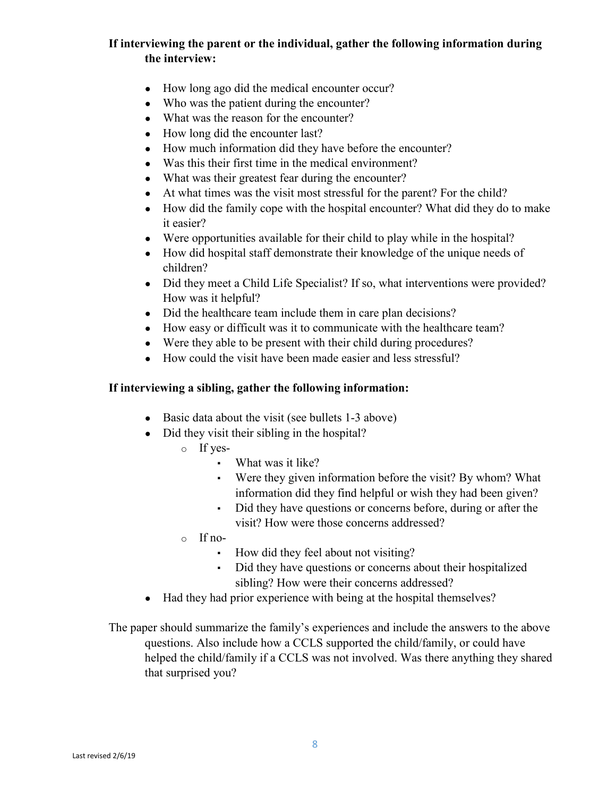# **If interviewing the parent or the individual, gather the following information during the interview:**

- How long ago did the medical encounter occur?
- Who was the patient during the encounter?
- What was the reason for the encounter?
- How long did the encounter last?
- How much information did they have before the encounter?
- Was this their first time in the medical environment?
- What was their greatest fear during the encounter?
- At what times was the visit most stressful for the parent? For the child?
- How did the family cope with the hospital encounter? What did they do to make it easier?
- Were opportunities available for their child to play while in the hospital?
- How did hospital staff demonstrate their knowledge of the unique needs of children?
- Did they meet a Child Life Specialist? If so, what interventions were provided? How was it helpful?
- Did the healthcare team include them in care plan decisions?
- How easy or difficult was it to communicate with the healthcare team?
- Were they able to be present with their child during procedures?
- How could the visit have been made easier and less stressful?

#### **If interviewing a sibling, gather the following information:**

- Basic data about the visit (see bullets 1-3 above)
- Did they visit their sibling in the hospital?
	- o If yes-
		- What was it like?
		- Were they given information before the visit? By whom? What information did they find helpful or wish they had been given?
		- Did they have questions or concerns before, during or after the visit? How were those concerns addressed?
	- o If no-
		- How did they feel about not visiting?
		- Did they have questions or concerns about their hospitalized sibling? How were their concerns addressed?
- Had they had prior experience with being at the hospital themselves?

The paper should summarize the family's experiences and include the answers to the above questions. Also include how a CCLS supported the child/family, or could have helped the child/family if a CCLS was not involved. Was there anything they shared that surprised you?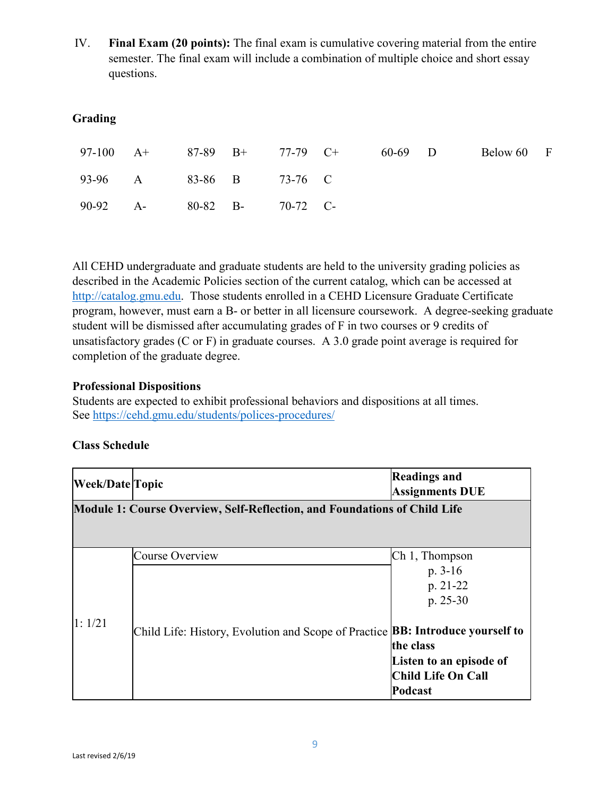IV. **Final Exam (20 points):** The final exam is cumulative covering material from the entire semester. The final exam will include a combination of multiple choice and short essay questions.

# **Grading**

|                            |  | 97-100 A+ 87-89 B+ 77-79 C+ | 60-69 D | Below 60 F |  |
|----------------------------|--|-----------------------------|---------|------------|--|
| 93-96 A 83-86 B 73-76 C    |  |                             |         |            |  |
| 90-92 A- 80-82 B- 70-72 C- |  |                             |         |            |  |

All CEHD undergraduate and graduate students are held to the university grading policies as described in the Academic Policies section of the current catalog, which can be accessed at [http://catalog.gmu.edu.](http://catalog.gmu.edu/) Those students enrolled in a CEHD Licensure Graduate Certificate program, however, must earn a B- or better in all licensure coursework. A degree-seeking graduate student will be dismissed after accumulating grades of F in two courses or 9 credits of unsatisfactory grades (C or F) in graduate courses. A 3.0 grade point average is required for completion of the graduate degree.

### **Professional Dispositions**

Students are expected to exhibit professional behaviors and dispositions at all times. See<https://cehd.gmu.edu/students/polices-procedures/>

## **Class Schedule**

| <b>Week/Date Topic</b>                                                           |                                                                                       | <b>Readings and</b><br><b>Assignments DUE</b> |  |  |  |
|----------------------------------------------------------------------------------|---------------------------------------------------------------------------------------|-----------------------------------------------|--|--|--|
| <b>Module 1: Course Overview, Self-Reflection, and Foundations of Child Life</b> |                                                                                       |                                               |  |  |  |
|                                                                                  |                                                                                       |                                               |  |  |  |
|                                                                                  | Course Overview                                                                       | $Ch 1$ , Thompson                             |  |  |  |
|                                                                                  |                                                                                       | $p. 3-16$                                     |  |  |  |
|                                                                                  |                                                                                       | p. 21-22                                      |  |  |  |
|                                                                                  |                                                                                       | $p. 25-30$                                    |  |  |  |
| 1:1/21                                                                           | Child Life: History, Evolution and Scope of Practice <b>BB: Introduce yourself to</b> |                                               |  |  |  |
|                                                                                  |                                                                                       | the class                                     |  |  |  |
|                                                                                  |                                                                                       | Listen to an episode of                       |  |  |  |
|                                                                                  |                                                                                       | Child Life On Call                            |  |  |  |
|                                                                                  |                                                                                       | Podcast                                       |  |  |  |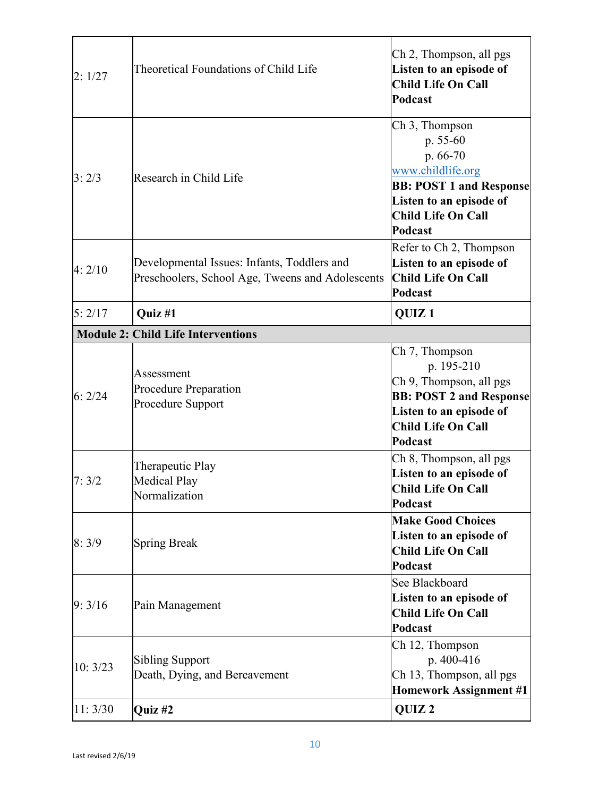| 2:1/27  | Theoretical Foundations of Child Life                                                           | Ch 2, Thompson, all pgs<br>Listen to an episode of<br><b>Child Life On Call</b><br>Podcast                                                                       |
|---------|-------------------------------------------------------------------------------------------------|------------------------------------------------------------------------------------------------------------------------------------------------------------------|
| 3:2/3   | Research in Child Life                                                                          | Ch 3, Thompson<br>p. 55-60<br>p. 66-70<br>www.childlife.org<br><b>BB: POST 1 and Response</b><br>Listen to an episode of<br><b>Child Life On Call</b><br>Podcast |
| 4:2/10  | Developmental Issues: Infants, Toddlers and<br>Preschoolers, School Age, Tweens and Adolescents | Refer to Ch 2, Thompson<br>Listen to an episode of<br>Child Life On Call<br>Podcast                                                                              |
| 5:2/17  | Quiz #1                                                                                         | QUIZ <sub>1</sub>                                                                                                                                                |
|         | <b>Module 2: Child Life Interventions</b>                                                       |                                                                                                                                                                  |
| 6:2/24  | Assessment<br><b>Procedure Preparation</b><br>Procedure Support                                 | Ch 7, Thompson<br>p. 195-210<br>Ch 9, Thompson, all pgs<br><b>BB: POST 2 and Response</b><br>Listen to an episode of<br><b>Child Life On Call</b><br>Podcast     |
| 7:3/2   | Therapeutic Play<br><b>Medical Play</b><br>Normalization                                        | Ch 8, Thompson, all pgs<br>Listen to an episode of<br><b>Child Life On Call</b><br>Podcast                                                                       |
| 8:3/9   | <b>Spring Break</b>                                                                             | <b>Make Good Choices</b><br>Listen to an episode of<br><b>Child Life On Call</b><br>Podcast                                                                      |
| 9:3/16  | Pain Management                                                                                 | See Blackboard<br>Listen to an episode of<br><b>Child Life On Call</b><br>Podcast                                                                                |
| 10:3/23 | <b>Sibling Support</b><br>Death, Dying, and Bereavement                                         | Ch 12, Thompson<br>p. 400-416<br>Ch 13, Thompson, all pgs<br><b>Homework Assignment #1</b>                                                                       |
| 11:3/30 | Quiz #2                                                                                         | QUIZ <sub>2</sub>                                                                                                                                                |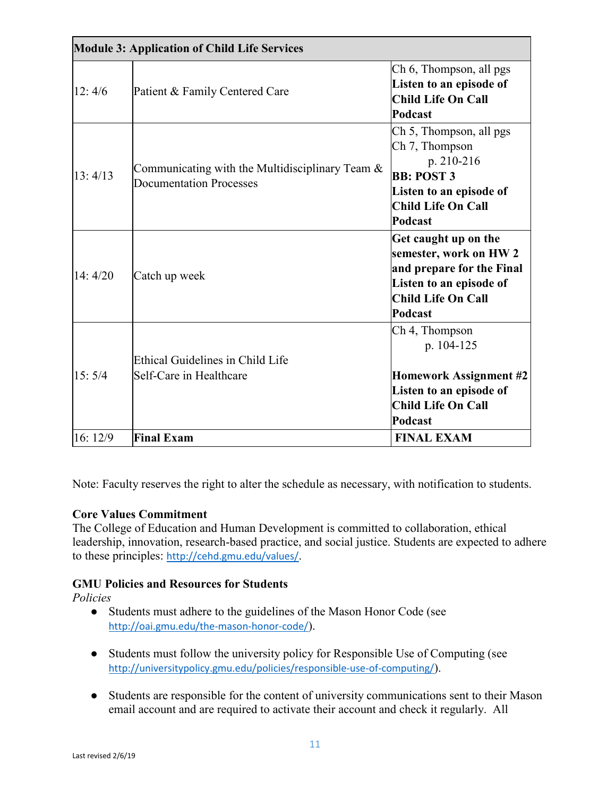| <b>Module 3: Application of Child Life Services</b> |                                                                                      |                                                                                                                                                 |  |  |
|-----------------------------------------------------|--------------------------------------------------------------------------------------|-------------------------------------------------------------------------------------------------------------------------------------------------|--|--|
| 12:4/6                                              | Patient & Family Centered Care                                                       | Ch 6, Thompson, all pgs<br>Listen to an episode of<br><b>Child Life On Call</b><br>Podcast                                                      |  |  |
| 13:4/13                                             | Communicating with the Multidisciplinary Team $\&$<br><b>Documentation Processes</b> | Ch 5, Thompson, all pgs<br>Ch 7, Thompson<br>p. 210-216<br><b>BB: POST 3</b><br>Listen to an episode of<br><b>Child Life On Call</b><br>Podcast |  |  |
| 14:4/20                                             | Catch up week                                                                        | Get caught up on the<br>semester, work on HW 2<br>and prepare for the Final<br>Listen to an episode of<br>Child Life On Call<br><b>Podcast</b>  |  |  |
| 15:5/4                                              | Ethical Guidelines in Child Life<br>Self-Care in Healthcare                          | Ch 4, Thompson<br>p. 104-125<br><b>Homework Assignment #2</b><br>Listen to an episode of<br><b>Child Life On Call</b><br>Podcast                |  |  |
| 16: 12/9                                            | <b>Final Exam</b>                                                                    | <b>FINAL EXAM</b>                                                                                                                               |  |  |

Note: Faculty reserves the right to alter the schedule as necessary, with notification to students.

## **Core Values Commitment**

The College of Education and Human Development is committed to collaboration, ethical leadership, innovation, research-based practice, and social justice. Students are expected to adhere to these principles: <http://cehd.gmu.edu/values/>.

## **GMU Policies and Resources for Students**

*Policies*

- Students must adhere to the guidelines of the Mason Honor Code (see <http://oai.gmu.edu/the-mason-honor-code/>).
- Students must follow the university policy for Responsible Use of Computing (see <http://universitypolicy.gmu.edu/policies/responsible-use-of-computing/>).
- Students are responsible for the content of university communications sent to their Mason email account and are required to activate their account and check it regularly. All